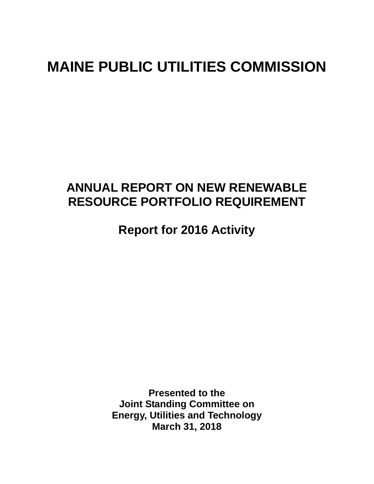# **MAINE PUBLIC UTILITIES COMMISSION**

## **ANNUAL REPORT ON NEW RENEWABLE RESOURCE PORTFOLIO REQUIREMENT**

**Report for 2016 Activity** 

**Presented to the Joint Standing Committee on Energy, Utilities and Technology March 31, 2018**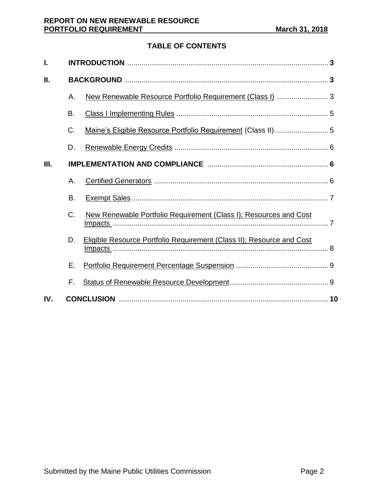### **TABLE OF CONTENTS**

| I.  |    |                                                                       |  |  |  |
|-----|----|-----------------------------------------------------------------------|--|--|--|
| П.  |    |                                                                       |  |  |  |
|     | Α. | New Renewable Resource Portfolio Requirement (Class I)  3             |  |  |  |
|     | В. |                                                                       |  |  |  |
|     | C. |                                                                       |  |  |  |
|     | D. |                                                                       |  |  |  |
| Ш.  |    |                                                                       |  |  |  |
|     | Α. |                                                                       |  |  |  |
|     | Β. |                                                                       |  |  |  |
|     | C. | New Renewable Portfolio Requirement (Class I); Resources and Cost     |  |  |  |
|     | D. | Eligible Resource Portfolio Requirement (Class II); Resource and Cost |  |  |  |
|     | Е. |                                                                       |  |  |  |
|     | F. |                                                                       |  |  |  |
| IV. |    |                                                                       |  |  |  |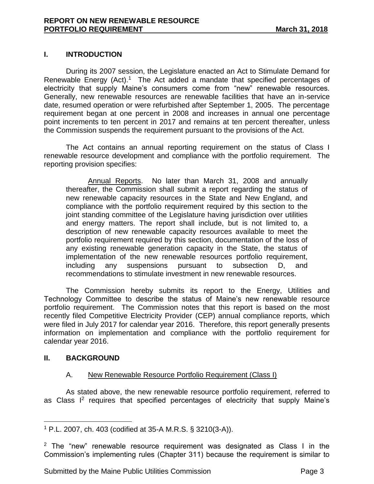#### **I. INTRODUCTION**

During its 2007 session, the Legislature enacted an Act to Stimulate Demand for Renewable Energy (Act).<sup>1</sup> The Act added a mandate that specified percentages of electricity that supply Maine's consumers come from "new" renewable resources. Generally, new renewable resources are renewable facilities that have an in-service date, resumed operation or were refurbished after September 1, 2005. The percentage requirement began at one percent in 2008 and increases in annual one percentage point increments to ten percent in 2017 and remains at ten percent thereafter, unless the Commission suspends the requirement pursuant to the provisions of the Act.

The Act contains an annual reporting requirement on the status of Class I renewable resource development and compliance with the portfolio requirement. The reporting provision specifies:

Annual Reports. No later than March 31, 2008 and annually thereafter, the Commission shall submit a report regarding the status of new renewable capacity resources in the State and New England, and compliance with the portfolio requirement required by this section to the joint standing committee of the Legislature having jurisdiction over utilities and energy matters. The report shall include, but is not limited to, a description of new renewable capacity resources available to meet the portfolio requirement required by this section, documentation of the loss of any existing renewable generation capacity in the State, the status of implementation of the new renewable resources portfolio requirement, including any suspensions pursuant to subsection D, and recommendations to stimulate investment in new renewable resources.

The Commission hereby submits its report to the Energy, Utilities and Technology Committee to describe the status of Maine's new renewable resource portfolio requirement. The Commission notes that this report is based on the most recently filed Competitive Electricity Provider (CEP) annual compliance reports, which were filed in July 2017 for calendar year 2016. Therefore, this report generally presents information on implementation and compliance with the portfolio requirement for calendar year 2016.

#### **II. BACKGROUND**

#### A. New Renewable Resource Portfolio Requirement (Class I)

As stated above, the new renewable resource portfolio requirement, referred to as Class  $I^2$  requires that specified percentages of electricity that supply Maine's

 $\overline{a}$ <sup>1</sup> P.L. 2007, ch. 403 (codified at 35-A M.R.S. § 3210(3-A)).

<sup>&</sup>lt;sup>2</sup> The "new" renewable resource requirement was designated as Class I in the Commission's implementing rules (Chapter 311) because the requirement is similar to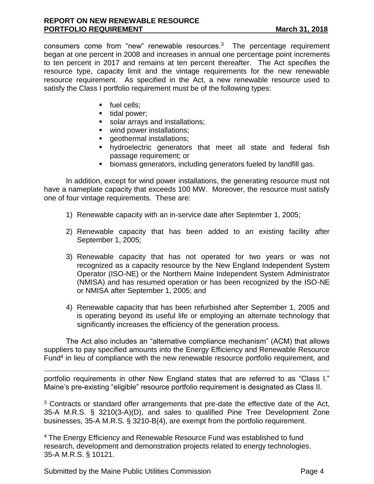consumers come from "new" renewable resources. $3$  The percentage requirement began at one percent in 2008 and increases in annual one percentage point increments to ten percent in 2017 and remains at ten percent thereafter. The Act specifies the resource type, capacity limit and the vintage requirements for the new renewable resource requirement. As specified in the Act, a new renewable resource used to satisfy the Class I portfolio requirement must be of the following types:

- fuel cells:
- tidal power;
- solar arrays and installations;
- wind power installations;
- geothermal installations;
- hydroelectric generators that meet all state and federal fish passage requirement; or
- biomass generators, including generators fueled by landfill gas.

In addition, except for wind power installations, the generating resource must not have a nameplate capacity that exceeds 100 MW. Moreover, the resource must satisfy one of four vintage requirements. These are:

- 1) Renewable capacity with an in-service date after September 1, 2005;
- 2) Renewable capacity that has been added to an existing facility after September 1, 2005;
- 3) Renewable capacity that has not operated for two years or was not recognized as a capacity resource by the New England Independent System Operator (ISO-NE) or the Northern Maine Independent System Administrator (NMISA) and has resumed operation or has been recognized by the ISO-NE or NMISA after September 1, 2005; and
- 4) Renewable capacity that has been refurbished after September 1, 2005 and is operating beyond its useful life or employing an alternate technology that significantly increases the efficiency of the generation process.

The Act also includes an "alternative compliance mechanism" (ACM) that allows suppliers to pay specified amounts into the Energy Efficiency and Renewable Resource Fund<sup>4</sup> in lieu of compliance with the new renewable resource portfolio requirement, and

portfolio requirements in other New England states that are referred to as "Class I." Maine's pre-existing "eligible" resource portfolio requirement is designated as Class II.

<sup>3</sup> Contracts or standard offer arrangements that pre-date the effective date of the Act, 35-A M.R.S. § 3210(3-A)(D), and sales to qualified Pine Tree Development Zone businesses, 35-A M.R.S. § 3210-B(4), are exempt from the portfolio requirement.

<sup>4</sup> The Energy Efficiency and Renewable Resource Fund was established to fund research, development and demonstration projects related to energy technologies. 35-A M.R.S. § 10121.

Submitted by the Maine Public Utilities Commission **Page 4** Page 4

 $\overline{a}$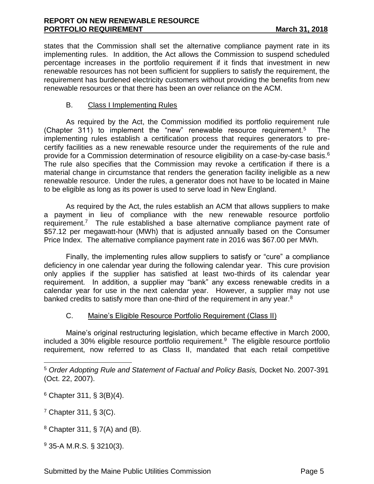states that the Commission shall set the alternative compliance payment rate in its implementing rules. In addition, the Act allows the Commission to suspend scheduled percentage increases in the portfolio requirement if it finds that investment in new renewable resources has not been sufficient for suppliers to satisfy the requirement, the requirement has burdened electricity customers without providing the benefits from new renewable resources or that there has been an over reliance on the ACM.

#### B. Class I Implementing Rules

As required by the Act, the Commission modified its portfolio requirement rule (Chapter 311) to implement the "new" renewable resource requirement.<sup>5</sup> The implementing rules establish a certification process that requires generators to precertify facilities as a new renewable resource under the requirements of the rule and provide for a Commission determination of resource eligibility on a case-by-case basis.<sup>6</sup> The rule also specifies that the Commission may revoke a certification if there is a material change in circumstance that renders the generation facility ineligible as a new renewable resource. Under the rules, a generator does not have to be located in Maine to be eligible as long as its power is used to serve load in New England.

As required by the Act, the rules establish an ACM that allows suppliers to make a payment in lieu of compliance with the new renewable resource portfolio requirement.<sup>7</sup> The rule established a base alternative compliance payment rate of \$57.12 per megawatt-hour (MWh) that is adjusted annually based on the Consumer Price Index. The alternative compliance payment rate in 2016 was \$67.00 per MWh.

Finally, the implementing rules allow suppliers to satisfy or "cure" a compliance deficiency in one calendar year during the following calendar year. This cure provision only applies if the supplier has satisfied at least two-thirds of its calendar year requirement. In addition, a supplier may "bank" any excess renewable credits in a calendar year for use in the next calendar year. However, a supplier may not use banked credits to satisfy more than one-third of the requirement in any year. $8$ 

#### C. Maine's Eligible Resource Portfolio Requirement (Class II)

Maine's original restructuring legislation, which became effective in March 2000, included a 30% eligible resource portfolio requirement.<sup>9</sup> The eligible resource portfolio requirement, now referred to as Class II, mandated that each retail competitive

 $\overline{a}$ 

 $9$  35-A M.R.S. § 3210(3).

<sup>5</sup> *Order Adopting Rule and Statement of Factual and Policy Basis,* Docket No. 2007-391 (Oct. 22, 2007).

 $6$  Chapter 311, § 3(B)(4).

<sup>7</sup> Chapter 311, § 3(C).

 $8$  Chapter 311, § 7(A) and (B).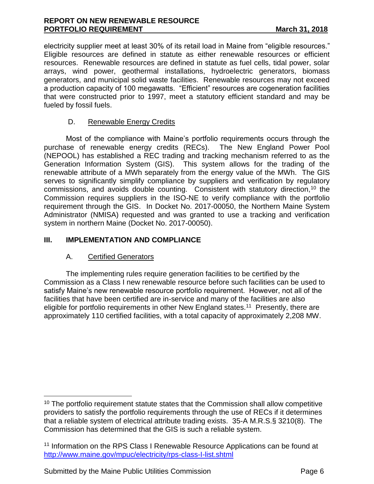#### **REPORT ON NEW RENEWABLE RESOURCE PORTFOLIO REQUIREMENT** March 31, 2018

electricity supplier meet at least 30% of its retail load in Maine from "eligible resources." Eligible resources are defined in statute as either renewable resources or efficient resources. Renewable resources are defined in statute as fuel cells, tidal power, solar arrays, wind power, geothermal installations, hydroelectric generators, biomass generators, and municipal solid waste facilities. Renewable resources may not exceed a production capacity of 100 megawatts. "Efficient" resources are cogeneration facilities that were constructed prior to 1997, meet a statutory efficient standard and may be fueled by fossil fuels.

#### D. Renewable Energy Credits

Most of the compliance with Maine's portfolio requirements occurs through the purchase of renewable energy credits (RECs). The New England Power Pool (NEPOOL) has established a REC trading and tracking mechanism referred to as the Generation Information System (GIS). This system allows for the trading of the renewable attribute of a MWh separately from the energy value of the MWh. The GIS serves to significantly simplify compliance by suppliers and verification by regulatory commissions, and avoids double counting. Consistent with statutory direction,<sup>10</sup> the Commission requires suppliers in the ISO-NE to verify compliance with the portfolio requirement through the GIS. In Docket No. 2017-00050, the Northern Maine System Administrator (NMISA) requested and was granted to use a tracking and verification system in northern Maine (Docket No. 2017-00050).

#### **III. IMPLEMENTATION AND COMPLIANCE**

#### A. Certified Generators

 $\overline{a}$ 

The implementing rules require generation facilities to be certified by the Commission as a Class I new renewable resource before such facilities can be used to satisfy Maine's new renewable resource portfolio requirement. However, not all of the facilities that have been certified are in-service and many of the facilities are also eligible for portfolio requirements in other New England states.<sup>11</sup> Presently, there are approximately 110 certified facilities, with a total capacity of approximately 2,208 MW.

Submitted by the Maine Public Utilities Commission **Page 6** Page 6

 $10$  The portfolio requirement statute states that the Commission shall allow competitive providers to satisfy the portfolio requirements through the use of RECs if it determines that a reliable system of electrical attribute trading exists. 35-A M.R.S.§ 3210(8). The Commission has determined that the GIS is such a reliable system.

<sup>&</sup>lt;sup>11</sup> Information on the RPS Class I Renewable Resource Applications can be found at <http://www.maine.gov/mpuc/electricity/rps-class-I-list.shtml>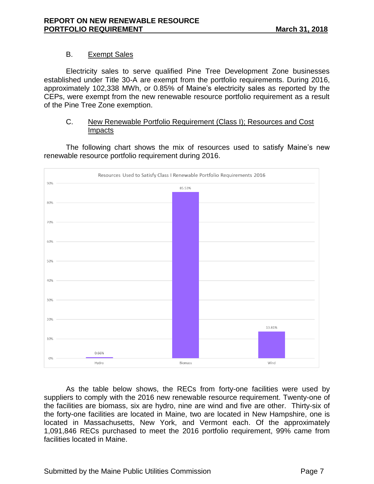#### B. Exempt Sales

Electricity sales to serve qualified Pine Tree Development Zone businesses established under Title 30-A are exempt from the portfolio requirements. During 2016, approximately 102,338 MWh, or 0.85% of Maine's electricity sales as reported by the CEPs, were exempt from the new renewable resource portfolio requirement as a result of the Pine Tree Zone exemption.

#### C. New Renewable Portfolio Requirement (Class I); Resources and Cost **Impacts**

The following chart shows the mix of resources used to satisfy Maine's new renewable resource portfolio requirement during 2016.



As the table below shows, the RECs from forty-one facilities were used by suppliers to comply with the 2016 new renewable resource requirement. Twenty-one of the facilities are biomass, six are hydro, nine are wind and five are other. Thirty-six of the forty-one facilities are located in Maine, two are located in New Hampshire, one is located in Massachusetts, New York, and Vermont each. Of the approximately 1,091,846 RECs purchased to meet the 2016 portfolio requirement, 99% came from facilities located in Maine.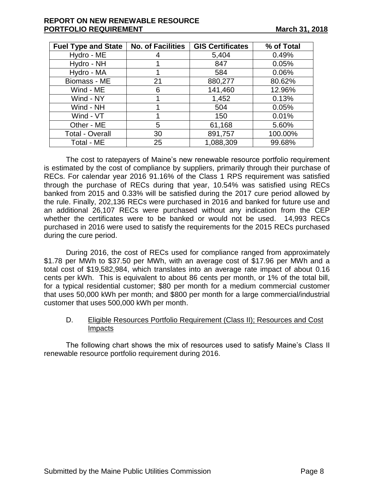#### **REPORT ON NEW RENEWABLE RESOURCE PORTFOLIO REQUIREMENT** March 31, 2018

| <b>Fuel Type and State</b> | <b>No. of Facilities</b> | <b>GIS Certificates</b> | % of Total |
|----------------------------|--------------------------|-------------------------|------------|
| Hydro - ME                 |                          | 5,404                   | 0.49%      |
| Hydro - NH                 |                          | 847                     | 0.05%      |
| Hydro - MA                 |                          | 584                     | 0.06%      |
| Biomass - ME               | 21                       | 880,277                 | 80.62%     |
| Wind - ME                  | 6                        | 141,460                 | 12.96%     |
| Wind - NY                  |                          | 1,452                   | 0.13%      |
| Wind - NH                  |                          | 504                     | 0.05%      |
| Wind - VT                  |                          | 150                     | 0.01%      |
| Other - ME                 | 5                        | 61,168                  | 5.60%      |
| <b>Total - Overall</b>     | 30                       | 891,757                 | 100.00%    |
| Total - ME                 | 25                       | 1,088,309               | 99.68%     |

The cost to ratepayers of Maine's new renewable resource portfolio requirement is estimated by the cost of compliance by suppliers, primarily through their purchase of RECs. For calendar year 2016 91.16% of the Class 1 RPS requirement was satisfied through the purchase of RECs during that year, 10.54% was satisfied using RECs banked from 2015 and 0.33% will be satisfied during the 2017 cure period allowed by the rule. Finally, 202,136 RECs were purchased in 2016 and banked for future use and an additional 26,107 RECs were purchased without any indication from the CEP whether the certificates were to be banked or would not be used. 14,993 RECs purchased in 2016 were used to satisfy the requirements for the 2015 RECs purchased during the cure period.

During 2016, the cost of RECs used for compliance ranged from approximately \$1.78 per MWh to \$37.50 per MWh, with an average cost of \$17.96 per MWh and a total cost of \$19,582,984, which translates into an average rate impact of about 0.16 cents per kWh. This is equivalent to about 86 cents per month, or 1% of the total bill, for a typical residential customer; \$80 per month for a medium commercial customer that uses 50,000 kWh per month; and \$800 per month for a large commercial/industrial customer that uses 500,000 kWh per month.

#### D. Eligible Resources Portfolio Requirement (Class II); Resources and Cost Impacts

The following chart shows the mix of resources used to satisfy Maine's Class II renewable resource portfolio requirement during 2016.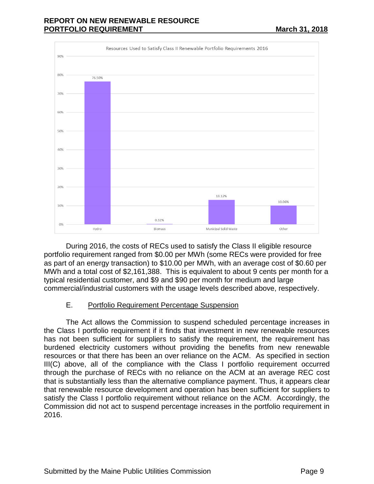#### **REPORT ON NEW RENEWABLE RESOURCE PORTFOLIO REQUIREMENT March 31, 2018**



During 2016, the costs of RECs used to satisfy the Class II eligible resource portfolio requirement ranged from \$0.00 per MWh (some RECs were provided for free as part of an energy transaction) to \$10.00 per MWh, with an average cost of \$0.60 per MWh and a total cost of \$2,161,388. This is equivalent to about 9 cents per month for a typical residential customer, and \$9 and \$90 per month for medium and large commercial/industrial customers with the usage levels described above, respectively.

#### E. Portfolio Requirement Percentage Suspension

The Act allows the Commission to suspend scheduled percentage increases in the Class I portfolio requirement if it finds that investment in new renewable resources has not been sufficient for suppliers to satisfy the requirement, the requirement has burdened electricity customers without providing the benefits from new renewable resources or that there has been an over reliance on the ACM. As specified in section III(C) above, all of the compliance with the Class I portfolio requirement occurred through the purchase of RECs with no reliance on the ACM at an average REC cost that is substantially less than the alternative compliance payment. Thus, it appears clear that renewable resource development and operation has been sufficient for suppliers to satisfy the Class I portfolio requirement without reliance on the ACM. Accordingly, the Commission did not act to suspend percentage increases in the portfolio requirement in 2016.